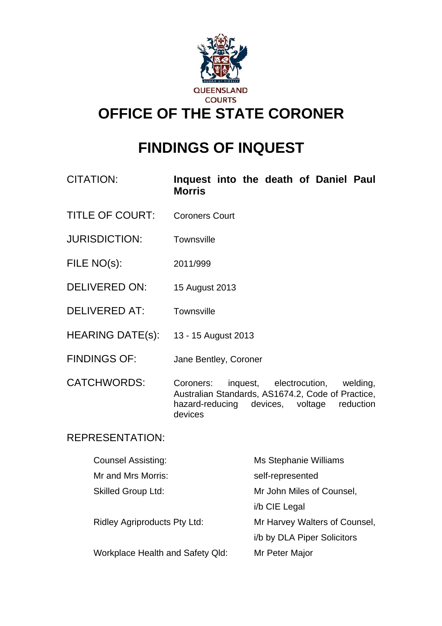

# **FINDINGS OF INQUEST**

| <b>CITATION:</b> | Inquest into the death of Daniel Paul |  |  |  |
|------------------|---------------------------------------|--|--|--|
|                  | <b>Morris</b>                         |  |  |  |

- TITLE OF COURT: Coroners Court
- JURISDICTION: Townsville
- FILE NO(s): 2011/999
- DELIVERED ON: 15 August 2013
- DELIVERED AT: Townsville
- HEARING DATE(s): 13 15 August 2013
- FINDINGS OF: Jane Bentley, Coroner

CATCHWORDS: Coroners: inquest, electrocution, welding, Australian Standards, AS1674.2, Code of Practice, hazard-reducing devices, voltage reduction devices

# REPRESENTATION:

|                                     | <b>Counsel Assisting:</b>               | Ms Stephanie Williams         |  |  |  |
|-------------------------------------|-----------------------------------------|-------------------------------|--|--|--|
|                                     | Mr and Mrs Morris:                      | self-represented              |  |  |  |
|                                     | <b>Skilled Group Ltd:</b>               | Mr John Miles of Counsel,     |  |  |  |
|                                     |                                         | i/b CIE Legal                 |  |  |  |
| <b>Ridley Agriproducts Pty Ltd:</b> |                                         | Mr Harvey Walters of Counsel, |  |  |  |
|                                     |                                         | i/b by DLA Piper Solicitors   |  |  |  |
|                                     | <b>Workplace Health and Safety Qld:</b> | Mr Peter Major                |  |  |  |
|                                     |                                         |                               |  |  |  |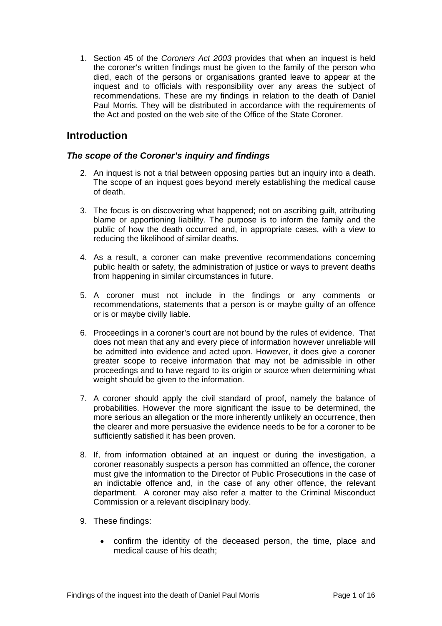1. Section 45 of the *Coroners Act 2003* provides that when an inquest is held the coroner's written findings must be given to the family of the person who died, each of the persons or organisations granted leave to appear at the inquest and to officials with responsibility over any areas the subject of recommendations. These are my findings in relation to the death of Daniel Paul Morris. They will be distributed in accordance with the requirements of the Act and posted on the web site of the Office of the State Coroner.

# **Introduction**

# *The scope of the Coroner's inquiry and findings*

- 2. An inquest is not a trial between opposing parties but an inquiry into a death. The scope of an inquest goes beyond merely establishing the medical cause of death.
- 3. The focus is on discovering what happened; not on ascribing guilt, attributing blame or apportioning liability. The purpose is to inform the family and the public of how the death occurred and, in appropriate cases, with a view to reducing the likelihood of similar deaths.
- 4. As a result, a coroner can make preventive recommendations concerning public health or safety, the administration of justice or ways to prevent deaths from happening in similar circumstances in future.
- 5. A coroner must not include in the findings or any comments or recommendations, statements that a person is or maybe guilty of an offence or is or maybe civilly liable.
- 6. Proceedings in a coroner's court are not bound by the rules of evidence. That does not mean that any and every piece of information however unreliable will be admitted into evidence and acted upon. However, it does give a coroner greater scope to receive information that may not be admissible in other proceedings and to have regard to its origin or source when determining what weight should be given to the information.
- 7. A coroner should apply the civil standard of proof, namely the balance of probabilities. However the more significant the issue to be determined, the more serious an allegation or the more inherently unlikely an occurrence, then the clearer and more persuasive the evidence needs to be for a coroner to be sufficiently satisfied it has been proven.
- 8. If, from information obtained at an inquest or during the investigation, a coroner reasonably suspects a person has committed an offence, the coroner must give the information to the Director of Public Prosecutions in the case of an indictable offence and, in the case of any other offence, the relevant department. A coroner may also refer a matter to the Criminal Misconduct Commission or a relevant disciplinary body.
- 9. These findings:
	- confirm the identity of the deceased person, the time, place and medical cause of his death;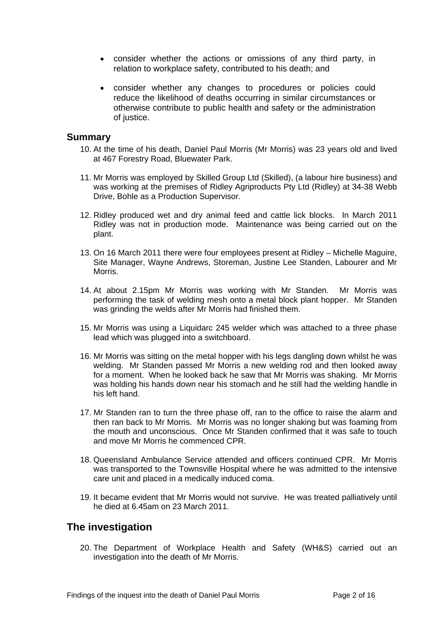- consider whether the actions or omissions of any third party, in relation to workplace safety, contributed to his death; and
- consider whether any changes to procedures or policies could reduce the likelihood of deaths occurring in similar circumstances or otherwise contribute to public health and safety or the administration of justice.

## **Summary**

- 10. At the time of his death, Daniel Paul Morris (Mr Morris) was 23 years old and lived at 467 Forestry Road, Bluewater Park.
- 11. Mr Morris was employed by Skilled Group Ltd (Skilled), (a labour hire business) and was working at the premises of Ridley Agriproducts Pty Ltd (Ridley) at 34-38 Webb Drive, Bohle as a Production Supervisor.
- 12. Ridley produced wet and dry animal feed and cattle lick blocks. In March 2011 Ridley was not in production mode. Maintenance was being carried out on the plant.
- 13. On 16 March 2011 there were four employees present at Ridley Michelle Maguire, Site Manager, Wayne Andrews, Storeman, Justine Lee Standen, Labourer and Mr Morris.
- 14. At about 2.15pm Mr Morris was working with Mr Standen. Mr Morris was performing the task of welding mesh onto a metal block plant hopper. Mr Standen was grinding the welds after Mr Morris had finished them.
- 15. Mr Morris was using a Liquidarc 245 welder which was attached to a three phase lead which was plugged into a switchboard.
- 16. Mr Morris was sitting on the metal hopper with his legs dangling down whilst he was welding. Mr Standen passed Mr Morris a new welding rod and then looked away for a moment. When he looked back he saw that Mr Morris was shaking. Mr Morris was holding his hands down near his stomach and he still had the welding handle in his left hand.
- 17. Mr Standen ran to turn the three phase off, ran to the office to raise the alarm and then ran back to Mr Morris. Mr Morris was no longer shaking but was foaming from the mouth and unconscious. Once Mr Standen confirmed that it was safe to touch and move Mr Morris he commenced CPR.
- 18. Queensland Ambulance Service attended and officers continued CPR. Mr Morris was transported to the Townsville Hospital where he was admitted to the intensive care unit and placed in a medically induced coma.
- 19. It became evident that Mr Morris would not survive. He was treated palliatively until he died at 6.45am on 23 March 2011.

# **The investigation**

20. The Department of Workplace Health and Safety (WH&S) carried out an investigation into the death of Mr Morris.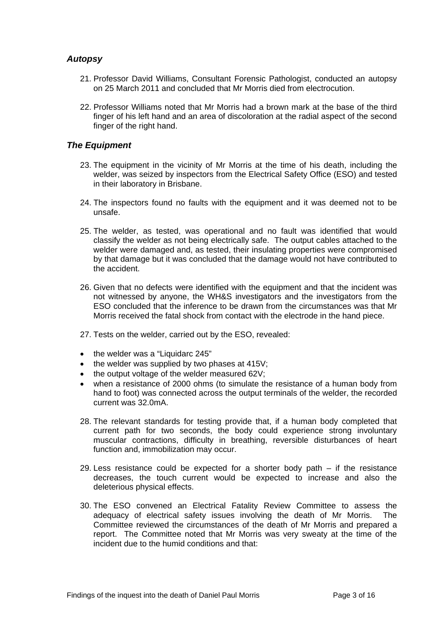# *Autopsy*

- 21. Professor David Williams, Consultant Forensic Pathologist, conducted an autopsy on 25 March 2011 and concluded that Mr Morris died from electrocution.
- 22. Professor Williams noted that Mr Morris had a brown mark at the base of the third finger of his left hand and an area of discoloration at the radial aspect of the second finger of the right hand.

# *The Equipment*

- 23. The equipment in the vicinity of Mr Morris at the time of his death, including the welder, was seized by inspectors from the Electrical Safety Office (ESO) and tested in their laboratory in Brisbane.
- 24. The inspectors found no faults with the equipment and it was deemed not to be unsafe.
- 25. The welder, as tested, was operational and no fault was identified that would classify the welder as not being electrically safe. The output cables attached to the welder were damaged and, as tested, their insulating properties were compromised by that damage but it was concluded that the damage would not have contributed to the accident.
- 26. Given that no defects were identified with the equipment and that the incident was not witnessed by anyone, the WH&S investigators and the investigators from the ESO concluded that the inference to be drawn from the circumstances was that Mr Morris received the fatal shock from contact with the electrode in the hand piece.
- 27. Tests on the welder, carried out by the ESO, revealed:
- the welder was a "Liquidarc 245"
- the welder was supplied by two phases at 415V;
- the output voltage of the welder measured 62V:
- when a resistance of 2000 ohms (to simulate the resistance of a human body from hand to foot) was connected across the output terminals of the welder, the recorded current was 32.0mA.
- 28. The relevant standards for testing provide that, if a human body completed that current path for two seconds, the body could experience strong involuntary muscular contractions, difficulty in breathing, reversible disturbances of heart function and, immobilization may occur.
- 29. Less resistance could be expected for a shorter body path if the resistance decreases, the touch current would be expected to increase and also the deleterious physical effects.
- 30. The ESO convened an Electrical Fatality Review Committee to assess the adequacy of electrical safety issues involving the death of Mr Morris. The Committee reviewed the circumstances of the death of Mr Morris and prepared a report. The Committee noted that Mr Morris was very sweaty at the time of the incident due to the humid conditions and that: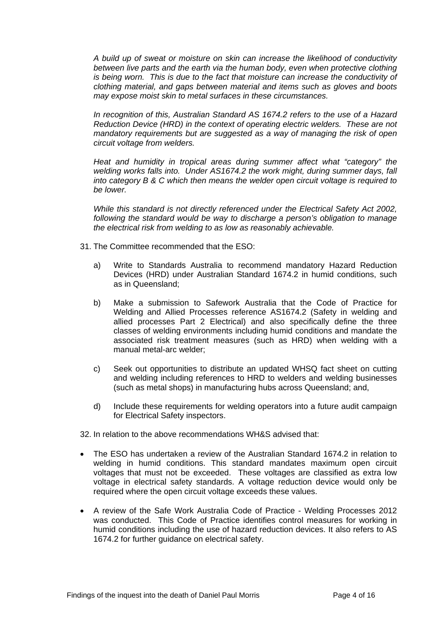*A build up of sweat or moisture on skin can increase the likelihood of conductivity between live parts and the earth via the human body, even when protective clothing is being worn. This is due to the fact that moisture can increase the conductivity of clothing material, and gaps between material and items such as gloves and boots may expose moist skin to metal surfaces in these circumstances.* 

*In recognition of this, Australian Standard AS 1674.2 refers to the use of a Hazard Reduction Device (HRD) in the context of operating electric welders. These are not mandatory requirements but are suggested as a way of managing the risk of open circuit voltage from welders.* 

*Heat and humidity in tropical areas during summer affect what "category" the welding works falls into. Under AS1674.2 the work might, during summer days, fall into category B & C which then means the welder open circuit voltage is required to be lower.* 

*While this standard is not directly referenced under the Electrical Safety Act 2002, following the standard would be way to discharge a person's obligation to manage the electrical risk from welding to as low as reasonably achievable.* 

- 31. The Committee recommended that the ESO:
	- a) Write to Standards Australia to recommend mandatory Hazard Reduction Devices (HRD) under Australian Standard 1674.2 in humid conditions, such as in Queensland;
	- b) Make a submission to Safework Australia that the Code of Practice for Welding and Allied Processes reference AS1674.2 (Safety in welding and allied processes Part 2 Electrical) and also specifically define the three classes of welding environments including humid conditions and mandate the associated risk treatment measures (such as HRD) when welding with a manual metal-arc welder;
	- c) Seek out opportunities to distribute an updated WHSQ fact sheet on cutting and welding including references to HRD to welders and welding businesses (such as metal shops) in manufacturing hubs across Queensland; and,
	- d) Include these requirements for welding operators into a future audit campaign for Electrical Safety inspectors.

32. In relation to the above recommendations WH&S advised that:

- The ESO has undertaken a review of the Australian Standard 1674.2 in relation to welding in humid conditions. This standard mandates maximum open circuit voltages that must not be exceeded. These voltages are classified as extra low voltage in electrical safety standards. A voltage reduction device would only be required where the open circuit voltage exceeds these values.
- A review of the Safe Work Australia Code of Practice Welding Processes 2012 was conducted. This Code of Practice identifies control measures for working in humid conditions including the use of hazard reduction devices. It also refers to AS 1674.2 for further guidance on electrical safety.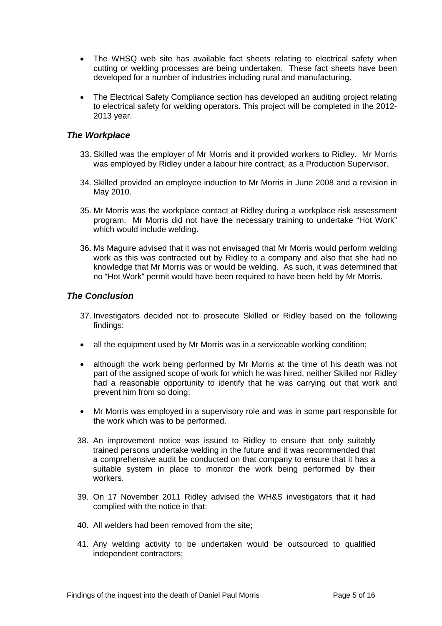- The WHSQ web site has available fact sheets relating to electrical safety when cutting or welding processes are being undertaken. These fact sheets have been developed for a number of industries including rural and manufacturing.
- The Electrical Safety Compliance section has developed an auditing project relating to electrical safety for welding operators. This project will be completed in the 2012- 2013 year.

## *The Workplace*

- 33. Skilled was the employer of Mr Morris and it provided workers to Ridley. Mr Morris was employed by Ridley under a labour hire contract, as a Production Supervisor.
- 34. Skilled provided an employee induction to Mr Morris in June 2008 and a revision in May 2010.
- 35. Mr Morris was the workplace contact at Ridley during a workplace risk assessment program. Mr Morris did not have the necessary training to undertake "Hot Work" which would include welding.
- 36. Ms Maguire advised that it was not envisaged that Mr Morris would perform welding work as this was contracted out by Ridley to a company and also that she had no knowledge that Mr Morris was or would be welding. As such, it was determined that no "Hot Work" permit would have been required to have been held by Mr Morris.

## *The Conclusion*

- 37. Investigators decided not to prosecute Skilled or Ridley based on the following findings:
- all the equipment used by Mr Morris was in a serviceable working condition;
- although the work being performed by Mr Morris at the time of his death was not part of the assigned scope of work for which he was hired, neither Skilled nor Ridley had a reasonable opportunity to identify that he was carrying out that work and prevent him from so doing;
- Mr Morris was employed in a supervisory role and was in some part responsible for the work which was to be performed.
- 38. An improvement notice was issued to Ridley to ensure that only suitably trained persons undertake welding in the future and it was recommended that a comprehensive audit be conducted on that company to ensure that it has a suitable system in place to monitor the work being performed by their workers.
- 39. On 17 November 2011 Ridley advised the WH&S investigators that it had complied with the notice in that:
- 40. All welders had been removed from the site;
- 41. Any welding activity to be undertaken would be outsourced to qualified independent contractors;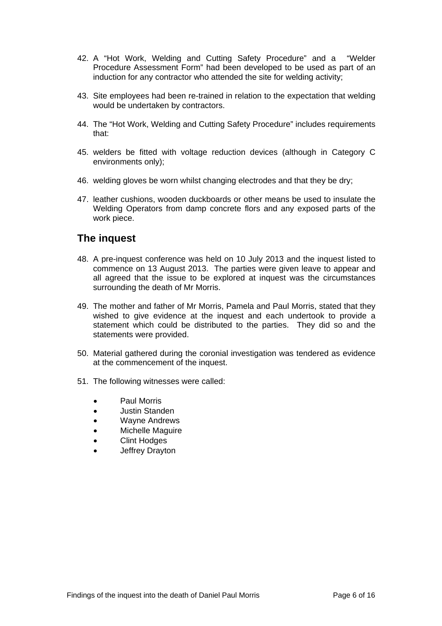- 42. A "Hot Work, Welding and Cutting Safety Procedure" and a "Welder Procedure Assessment Form" had been developed to be used as part of an induction for any contractor who attended the site for welding activity;
- 43. Site employees had been re-trained in relation to the expectation that welding would be undertaken by contractors.
- 44. The "Hot Work, Welding and Cutting Safety Procedure" includes requirements that:
- 45. welders be fitted with voltage reduction devices (although in Category C environments only);
- 46. welding gloves be worn whilst changing electrodes and that they be dry;
- 47. leather cushions, wooden duckboards or other means be used to insulate the Welding Operators from damp concrete flors and any exposed parts of the work piece.

# **The inquest**

- 48. A pre-inquest conference was held on 10 July 2013 and the inquest listed to commence on 13 August 2013. The parties were given leave to appear and all agreed that the issue to be explored at inquest was the circumstances surrounding the death of Mr Morris.
- 49. The mother and father of Mr Morris, Pamela and Paul Morris, stated that they wished to give evidence at the inquest and each undertook to provide a statement which could be distributed to the parties. They did so and the statements were provided.
- 50. Material gathered during the coronial investigation was tendered as evidence at the commencement of the inquest.
- 51. The following witnesses were called:
	- Paul Morris
	- Justin Standen
	- Wayne Andrews
	- Michelle Maguire
	- Clint Hodges
	- Jeffrey Drayton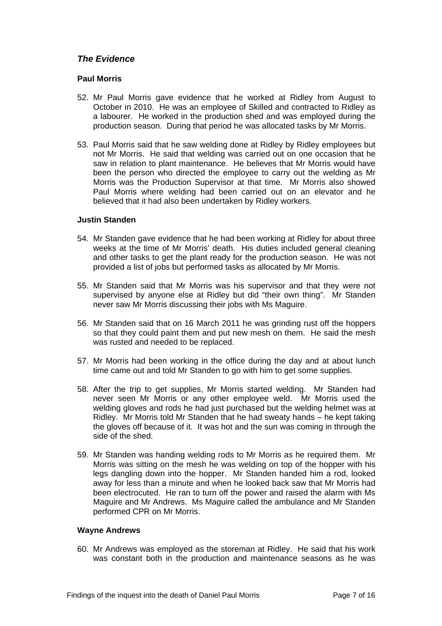# *The Evidence*

#### **Paul Morris**

- 52. Mr Paul Morris gave evidence that he worked at Ridley from August to October in 2010. He was an employee of Skilled and contracted to Ridley as a labourer. He worked in the production shed and was employed during the production season. During that period he was allocated tasks by Mr Morris.
- 53. Paul Morris said that he saw welding done at Ridley by Ridley employees but not Mr Morris. He said that welding was carried out on one occasion that he saw in relation to plant maintenance. He believes that Mr Morris would have been the person who directed the employee to carry out the welding as Mr Morris was the Production Supervisor at that time. Mr Morris also showed Paul Morris where welding had been carried out on an elevator and he believed that it had also been undertaken by Ridley workers.

#### **Justin Standen**

- 54. Mr Standen gave evidence that he had been working at Ridley for about three weeks at the time of Mr Morris' death. His duties included general cleaning and other tasks to get the plant ready for the production season. He was not provided a list of jobs but performed tasks as allocated by Mr Morris.
- 55. Mr Standen said that Mr Morris was his supervisor and that they were not supervised by anyone else at Ridley but did "their own thing". Mr Standen never saw Mr Morris discussing their jobs with Ms Maguire.
- 56. Mr Standen said that on 16 March 2011 he was grinding rust off the hoppers so that they could paint them and put new mesh on them. He said the mesh was rusted and needed to be replaced.
- 57. Mr Morris had been working in the office during the day and at about lunch time came out and told Mr Standen to go with him to get some supplies.
- 58. After the trip to get supplies, Mr Morris started welding. Mr Standen had never seen Mr Morris or any other employee weld. Mr Morris used the welding gloves and rods he had just purchased but the welding helmet was at Ridley. Mr Morris told Mr Standen that he had sweaty hands – he kept taking the gloves off because of it. It was hot and the sun was coming in through the side of the shed.
- 59. Mr Standen was handing welding rods to Mr Morris as he required them. Mr Morris was sitting on the mesh he was welding on top of the hopper with his legs dangling down into the hopper. Mr Standen handed him a rod, looked away for less than a minute and when he looked back saw that Mr Morris had been electrocuted. He ran to turn off the power and raised the alarm with Ms Maguire and Mr Andrews. Ms Maguire called the ambulance and Mr Standen performed CPR on Mr Morris.

#### **Wayne Andrews**

60. Mr Andrews was employed as the storeman at Ridley. He said that his work was constant both in the production and maintenance seasons as he was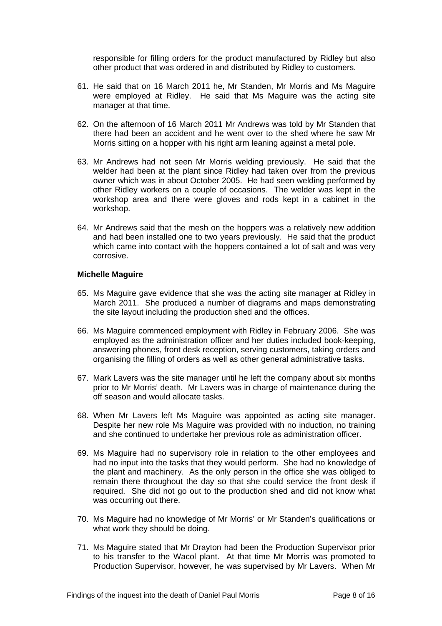responsible for filling orders for the product manufactured by Ridley but also other product that was ordered in and distributed by Ridley to customers.

- 61. He said that on 16 March 2011 he, Mr Standen, Mr Morris and Ms Maguire were employed at Ridley. He said that Ms Maguire was the acting site manager at that time.
- 62. On the afternoon of 16 March 2011 Mr Andrews was told by Mr Standen that there had been an accident and he went over to the shed where he saw Mr Morris sitting on a hopper with his right arm leaning against a metal pole.
- 63. Mr Andrews had not seen Mr Morris welding previously. He said that the welder had been at the plant since Ridley had taken over from the previous owner which was in about October 2005. He had seen welding performed by other Ridley workers on a couple of occasions. The welder was kept in the workshop area and there were gloves and rods kept in a cabinet in the workshop.
- 64. Mr Andrews said that the mesh on the hoppers was a relatively new addition and had been installed one to two years previously. He said that the product which came into contact with the hoppers contained a lot of salt and was very corrosive.

#### **Michelle Maguire**

- 65. Ms Maguire gave evidence that she was the acting site manager at Ridley in March 2011. She produced a number of diagrams and maps demonstrating the site layout including the production shed and the offices.
- 66. Ms Maguire commenced employment with Ridley in February 2006. She was employed as the administration officer and her duties included book-keeping, answering phones, front desk reception, serving customers, taking orders and organising the filling of orders as well as other general administrative tasks.
- 67. Mark Lavers was the site manager until he left the company about six months prior to Mr Morris' death. Mr Lavers was in charge of maintenance during the off season and would allocate tasks.
- 68. When Mr Lavers left Ms Maguire was appointed as acting site manager. Despite her new role Ms Maguire was provided with no induction, no training and she continued to undertake her previous role as administration officer.
- 69. Ms Maguire had no supervisory role in relation to the other employees and had no input into the tasks that they would perform. She had no knowledge of the plant and machinery. As the only person in the office she was obliged to remain there throughout the day so that she could service the front desk if required. She did not go out to the production shed and did not know what was occurring out there.
- 70. Ms Maguire had no knowledge of Mr Morris' or Mr Standen's qualifications or what work they should be doing.
- 71. Ms Maguire stated that Mr Drayton had been the Production Supervisor prior to his transfer to the Wacol plant. At that time Mr Morris was promoted to Production Supervisor, however, he was supervised by Mr Lavers. When Mr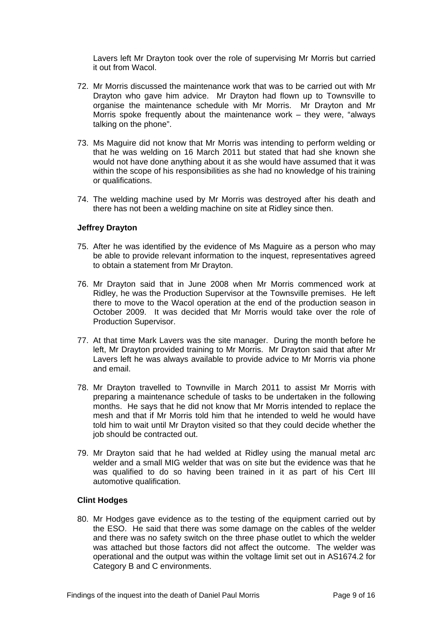Lavers left Mr Drayton took over the role of supervising Mr Morris but carried it out from Wacol.

- 72. Mr Morris discussed the maintenance work that was to be carried out with Mr Drayton who gave him advice. Mr Drayton had flown up to Townsville to organise the maintenance schedule with Mr Morris. Mr Drayton and Mr Morris spoke frequently about the maintenance work – they were, "always talking on the phone".
- 73. Ms Maguire did not know that Mr Morris was intending to perform welding or that he was welding on 16 March 2011 but stated that had she known she would not have done anything about it as she would have assumed that it was within the scope of his responsibilities as she had no knowledge of his training or qualifications.
- 74. The welding machine used by Mr Morris was destroyed after his death and there has not been a welding machine on site at Ridley since then.

#### **Jeffrey Drayton**

- 75. After he was identified by the evidence of Ms Maguire as a person who may be able to provide relevant information to the inquest, representatives agreed to obtain a statement from Mr Drayton.
- 76. Mr Drayton said that in June 2008 when Mr Morris commenced work at Ridley, he was the Production Supervisor at the Townsville premises. He left there to move to the Wacol operation at the end of the production season in October 2009. It was decided that Mr Morris would take over the role of Production Supervisor.
- 77. At that time Mark Lavers was the site manager. During the month before he left, Mr Drayton provided training to Mr Morris. Mr Drayton said that after Mr Lavers left he was always available to provide advice to Mr Morris via phone and email.
- 78. Mr Drayton travelled to Townville in March 2011 to assist Mr Morris with preparing a maintenance schedule of tasks to be undertaken in the following months. He says that he did not know that Mr Morris intended to replace the mesh and that if Mr Morris told him that he intended to weld he would have told him to wait until Mr Drayton visited so that they could decide whether the job should be contracted out.
- 79. Mr Drayton said that he had welded at Ridley using the manual metal arc welder and a small MIG welder that was on site but the evidence was that he was qualified to do so having been trained in it as part of his Cert III automotive qualification.

#### **Clint Hodges**

80. Mr Hodges gave evidence as to the testing of the equipment carried out by the ESO. He said that there was some damage on the cables of the welder and there was no safety switch on the three phase outlet to which the welder was attached but those factors did not affect the outcome. The welder was operational and the output was within the voltage limit set out in AS1674.2 for Category B and C environments.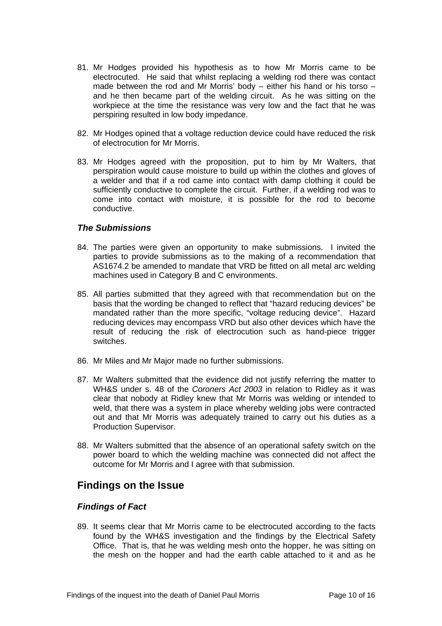- 81. Mr Hodges provided his hypothesis as to how Mr Morris came to be electrocuted. He said that whilst replacing a welding rod there was contact made between the rod and Mr Morris' body – either his hand or his torso – and he then became part of the welding circuit. As he was sitting on the workpiece at the time the resistance was very low and the fact that he was perspiring resulted in low body impedance.
- 82. Mr Hodges opined that a voltage reduction device could have reduced the risk of electrocution for Mr Morris.
- 83. Mr Hodges agreed with the proposition, put to him by Mr Walters, that perspiration would cause moisture to build up within the clothes and gloves of a welder and that if a rod came into contact with damp clothing it could be sufficiently conductive to complete the circuit. Further, if a welding rod was to come into contact with moisture, it is possible for the rod to become conductive.

### *The Submissions*

- 84. The parties were given an opportunity to make submissions. I invited the parties to provide submissions as to the making of a recommendation that AS1674.2 be amended to mandate that VRD be fitted on all metal arc welding machines used in Category B and C environments.
- 85. All parties submitted that they agreed with that recommendation but on the basis that the wording be changed to reflect that "hazard reducing devices" be mandated rather than the more specific, "voltage reducing device". Hazard reducing devices may encompass VRD but also other devices which have the result of reducing the risk of electrocution such as hand-piece trigger switches.
- 86. Mr Miles and Mr Major made no further submissions.
- 87. Mr Walters submitted that the evidence did not justify referring the matter to WH&S under s. 48 of the *Coroners Act 2003* in relation to Ridley as it was clear that nobody at Ridley knew that Mr Morris was welding or intended to weld, that there was a system in place whereby welding jobs were contracted out and that Mr Morris was adequately trained to carry out his duties as a Production Supervisor.
- 88. Mr Walters submitted that the absence of an operational safety switch on the power board to which the welding machine was connected did not affect the outcome for Mr Morris and I agree with that submission.

# **Findings on the Issue**

### *Findings of Fact*

89. It seems clear that Mr Morris came to be electrocuted according to the facts found by the WH&S investigation and the findings by the Electrical Safety Office. That is, that he was welding mesh onto the hopper, he was sitting on the mesh on the hopper and had the earth cable attached to it and as he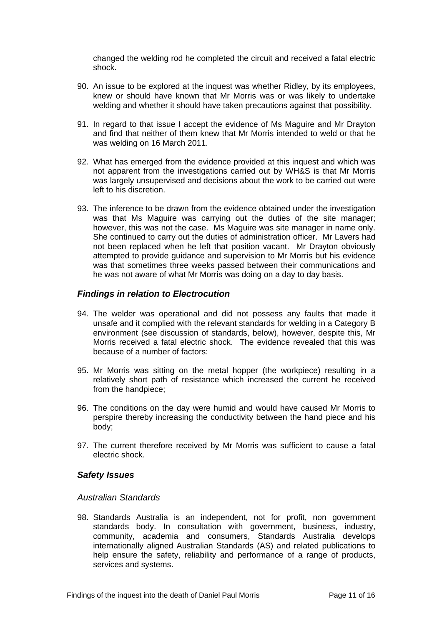changed the welding rod he completed the circuit and received a fatal electric shock.

- 90. An issue to be explored at the inquest was whether Ridley, by its employees, knew or should have known that Mr Morris was or was likely to undertake welding and whether it should have taken precautions against that possibility.
- 91. In regard to that issue I accept the evidence of Ms Maguire and Mr Drayton and find that neither of them knew that Mr Morris intended to weld or that he was welding on 16 March 2011.
- 92. What has emerged from the evidence provided at this inquest and which was not apparent from the investigations carried out by WH&S is that Mr Morris was largely unsupervised and decisions about the work to be carried out were left to his discretion.
- 93. The inference to be drawn from the evidence obtained under the investigation was that Ms Maguire was carrying out the duties of the site manager; however, this was not the case. Ms Maguire was site manager in name only. She continued to carry out the duties of administration officer. Mr Lavers had not been replaced when he left that position vacant. Mr Drayton obviously attempted to provide guidance and supervision to Mr Morris but his evidence was that sometimes three weeks passed between their communications and he was not aware of what Mr Morris was doing on a day to day basis.

### *Findings in relation to Electrocution*

- 94. The welder was operational and did not possess any faults that made it unsafe and it complied with the relevant standards for welding in a Category B environment (see discussion of standards, below), however, despite this, Mr Morris received a fatal electric shock. The evidence revealed that this was because of a number of factors:
- 95. Mr Morris was sitting on the metal hopper (the workpiece) resulting in a relatively short path of resistance which increased the current he received from the handpiece;
- 96. The conditions on the day were humid and would have caused Mr Morris to perspire thereby increasing the conductivity between the hand piece and his body;
- 97. The current therefore received by Mr Morris was sufficient to cause a fatal electric shock.

#### *Safety Issues*

#### *Australian Standards*

98. Standards Australia is an independent, not for profit, non government standards body. In consultation with government, business, industry, community, academia and consumers, Standards Australia develops internationally aligned Australian Standards (AS) and related publications to help ensure the safety, reliability and performance of a range of products, services and systems.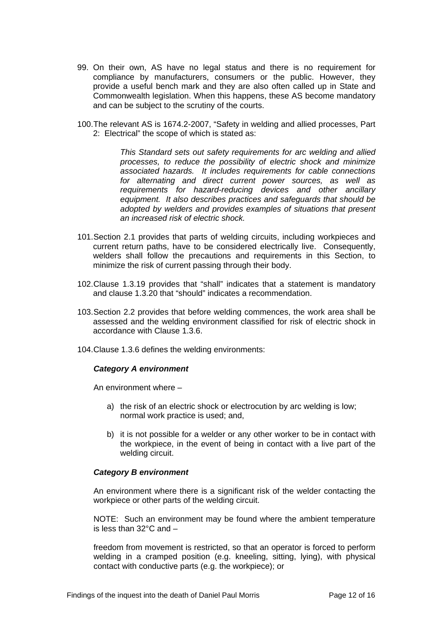- 99. On their own, AS have no legal status and there is no requirement for compliance by manufacturers, consumers or the public. However, they provide a useful bench mark and they are also often called up in State and Commonwealth legislation. When this happens, these AS become mandatory and can be subject to the scrutiny of the courts.
- 100. The relevant AS is 1674.2-2007, "Safety in welding and allied processes, Part 2: Electrical" the scope of which is stated as:

*This Standard sets out safety requirements for arc welding and allied processes, to reduce the possibility of electric shock and minimize associated hazards. It includes requirements for cable connections for alternating and direct current power sources, as well as requirements for hazard-reducing devices and other ancillary equipment. It also describes practices and safeguards that should be adopted by welders and provides examples of situations that present an increased risk of electric shock.* 

- 101. Section 2.1 provides that parts of welding circuits, including workpieces and current return paths, have to be considered electrically live. Consequently, welders shall follow the precautions and requirements in this Section, to minimize the risk of current passing through their body.
- 102. Clause 1.3.19 provides that "shall" indicates that a statement is mandatory and clause 1.3.20 that "should" indicates a recommendation.
- 103. Section 2.2 provides that before welding commences, the work area shall be assessed and the welding environment classified for risk of electric shock in accordance with Clause 1.3.6.
- 104. Clause 1.3.6 defines the welding environments:

#### *Category A environment*

An environment where –

- a) the risk of an electric shock or electrocution by arc welding is low; normal work practice is used; and,
- b) it is not possible for a welder or any other worker to be in contact with the workpiece, in the event of being in contact with a live part of the welding circuit.

#### *Category B environment*

An environment where there is a significant risk of the welder contacting the workpiece or other parts of the welding circuit.

NOTE: Such an environment may be found where the ambient temperature is less than 32°C and –

freedom from movement is restricted, so that an operator is forced to perform welding in a cramped position (e.g. kneeling, sitting, lying), with physical contact with conductive parts (e.g. the workpiece); or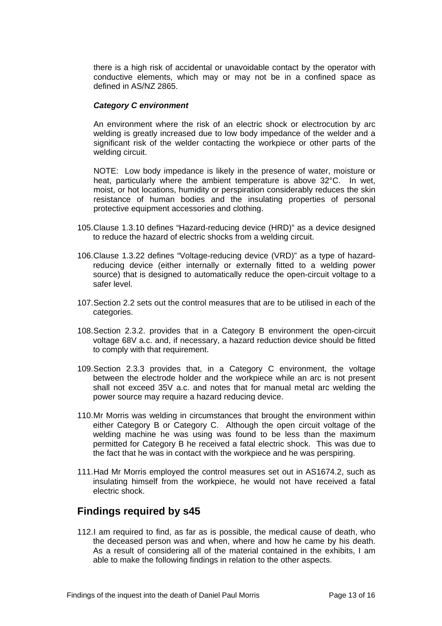there is a high risk of accidental or unavoidable contact by the operator with conductive elements, which may or may not be in a confined space as defined in AS/NZ 2865.

#### *Category C environment*

An environment where the risk of an electric shock or electrocution by arc welding is greatly increased due to low body impedance of the welder and a significant risk of the welder contacting the workpiece or other parts of the welding circuit.

NOTE: Low body impedance is likely in the presence of water, moisture or heat, particularly where the ambient temperature is above 32°C. In wet, moist, or hot locations, humidity or perspiration considerably reduces the skin resistance of human bodies and the insulating properties of personal protective equipment accessories and clothing.

- 105. Clause 1.3.10 defines "Hazard-reducing device (HRD)" as a device designed to reduce the hazard of electric shocks from a welding circuit.
- 106. Clause 1.3.22 defines "Voltage-reducing device (VRD)" as a type of hazardreducing device (either internally or externally fitted to a welding power source) that is designed to automatically reduce the open-circuit voltage to a safer level.
- 107. Section 2.2 sets out the control measures that are to be utilised in each of the categories.
- 108. Section 2.3.2. provides that in a Category B environment the open-circuit voltage 68V a.c. and, if necessary, a hazard reduction device should be fitted to comply with that requirement.
- 109. Section 2.3.3 provides that, in a Category C environment, the voltage between the electrode holder and the workpiece while an arc is not present shall not exceed 35V a.c. and notes that for manual metal arc welding the power source may require a hazard reducing device.
- 110. Mr Morris was welding in circumstances that brought the environment within either Category B or Category C. Although the open circuit voltage of the welding machine he was using was found to be less than the maximum permitted for Category B he received a fatal electric shock. This was due to the fact that he was in contact with the workpiece and he was perspiring.
- 111. Had Mr Morris employed the control measures set out in AS1674.2, such as insulating himself from the workpiece, he would not have received a fatal electric shock.

# **Findings required by s45**

112. I am required to find, as far as is possible, the medical cause of death, who the deceased person was and when, where and how he came by his death. As a result of considering all of the material contained in the exhibits, I am able to make the following findings in relation to the other aspects.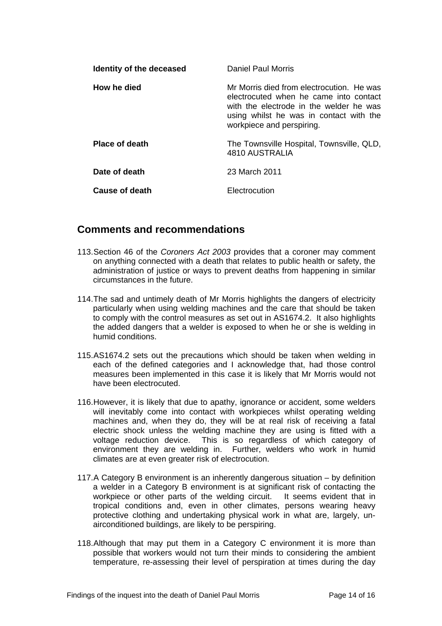| Identity of the deceased | Daniel Paul Morris                                                                                                                                                                                     |
|--------------------------|--------------------------------------------------------------------------------------------------------------------------------------------------------------------------------------------------------|
| How he died              | Mr Morris died from electrocution. He was<br>electrocuted when he came into contact<br>with the electrode in the welder he was<br>using whilst he was in contact with the<br>workpiece and perspiring. |
| <b>Place of death</b>    | The Townsville Hospital, Townsville, QLD,<br>4810 AUSTRALIA                                                                                                                                            |
| Date of death            | 23 March 2011                                                                                                                                                                                          |
| Cause of death           | Electrocution                                                                                                                                                                                          |

# **Comments and recommendations**

- 113. Section 46 of the *Coroners Act 2003* provides that a coroner may comment on anything connected with a death that relates to public health or safety, the administration of justice or ways to prevent deaths from happening in similar circumstances in the future.
- 114. The sad and untimely death of Mr Morris highlights the dangers of electricity particularly when using welding machines and the care that should be taken to comply with the control measures as set out in AS1674.2. It also highlights the added dangers that a welder is exposed to when he or she is welding in humid conditions.
- 115. AS1674.2 sets out the precautions which should be taken when welding in each of the defined categories and I acknowledge that, had those control measures been implemented in this case it is likely that Mr Morris would not have been electrocuted.
- 116. However, it is likely that due to apathy, ignorance or accident, some welders will inevitably come into contact with workpieces whilst operating welding machines and, when they do, they will be at real risk of receiving a fatal electric shock unless the welding machine they are using is fitted with a voltage reduction device. This is so regardless of which category of environment they are welding in. Further, welders who work in humid climates are at even greater risk of electrocution.
- 117. A Category B environment is an inherently dangerous situation by definition a welder in a Category B environment is at significant risk of contacting the workpiece or other parts of the welding circuit. It seems evident that in tropical conditions and, even in other climates, persons wearing heavy protective clothing and undertaking physical work in what are, largely, unairconditioned buildings, are likely to be perspiring.
- 118. Although that may put them in a Category C environment it is more than possible that workers would not turn their minds to considering the ambient temperature, re-assessing their level of perspiration at times during the day